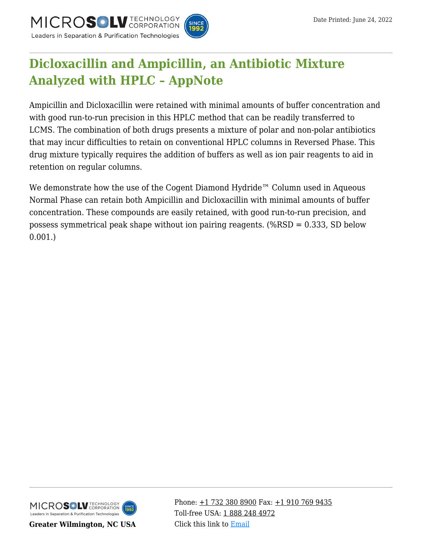



# **[Dicloxacillin and Ampicillin, an Antibiotic Mixture](https://kb.mtc-usa.com/article/aa-04115/46/) [Analyzed with HPLC – AppNote](https://kb.mtc-usa.com/article/aa-04115/46/)**

Ampicillin and Dicloxacillin were retained with minimal amounts of buffer concentration and with good run-to-run precision in this HPLC method that can be readily transferred to LCMS. The combination of both drugs presents a mixture of polar and non-polar antibiotics that may incur difficulties to retain on conventional HPLC columns in Reversed Phase. This drug mixture typically requires the addition of buffers as well as ion pair reagents to aid in retention on regular columns.

We demonstrate how the use of the Cogent Diamond Hydride™ Column used in Aqueous Normal Phase can retain both Ampicillin and Dicloxacillin with minimal amounts of buffer concentration. These compounds are easily retained, with good run-to-run precision, and possess symmetrical peak shape without ion pairing reagents. (%RSD = 0.333, SD below 0.001.)



**Greater Wilmington, NC USA**

Phone:  $\pm$ 1 732 380 8900 Fax:  $\pm$ 1 910 769 9435 Toll-free USA: [1 888 248 4972](#page--1-0) Click this link to [Email](https://www.mtc-usa.com/contact)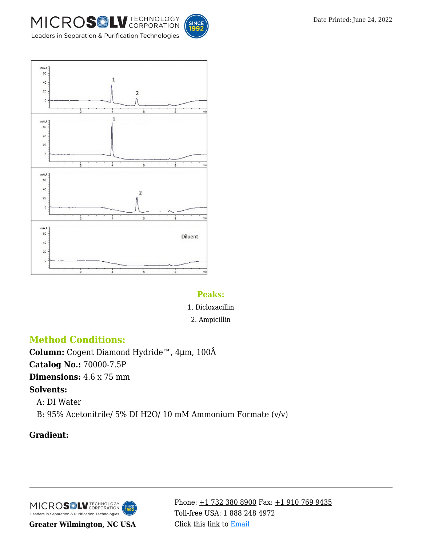



Leaders in Separation & Purification Technologies



#### **Peaks:**

- 1. Dicloxacillin
- 2. Ampicillin

## **Method Conditions:**

**Column:** Cogent Diamond Hydride™, 4μm, 100Å **Catalog No.:** 70000-7.5P **Dimensions:** 4.6 x 75 mm **Solvents:** A: DI Water

—B: 95% Acetonitrile/ 5% DI H2O/ 10 mM Ammonium Formate (v/v)

## **Gradient:**

MICROS<sup>OL</sup> LU TECHNOLOGY **INCE**<br>1992 Leaders in Separation & Purification Technologies

**Greater Wilmington, NC USA**

Phone:  $\pm$ 1 732 380 8900 Fax:  $\pm$ 1 910 769 9435 Toll-free USA: [1 888 248 4972](#page--1-0) Click this link to [Email](https://www.mtc-usa.com/contact)